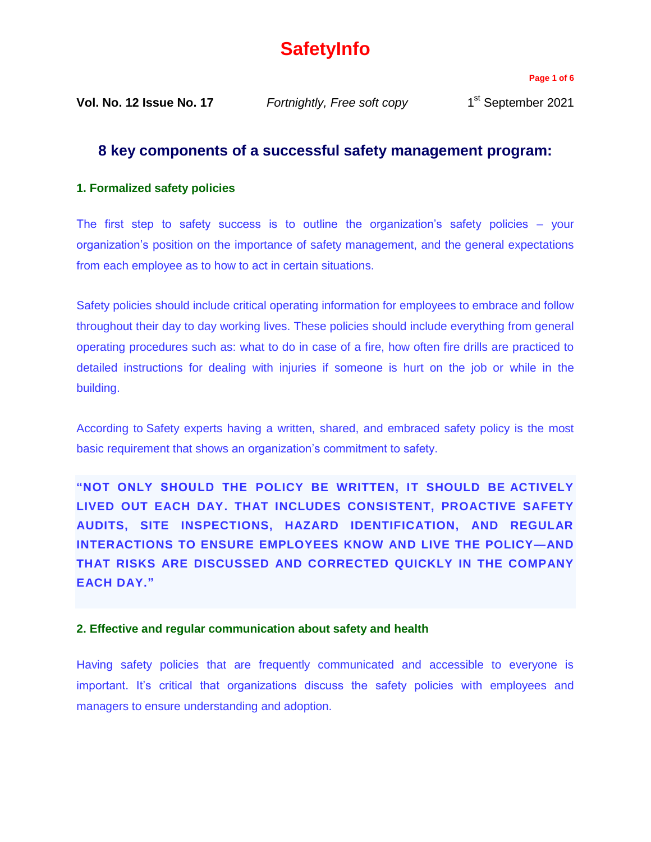# **SafetyInfo**

**Page 1 of 6**

**Vol. No. 12 Issue No. 17** *Fortnightly, Free soft copy* 1

1<sup>st</sup> September 2021

# **8 key components of a successful safety management program:**

## **1. Formalized safety policies**

The first step to safety success is to outline the organization's safety policies – your organization's position on the importance of safety management, and the general expectations from each employee as to how to act in certain situations.

Safety policies should include critical operating information for employees to embrace and follow throughout their day to day working lives. These policies should include everything from general operating procedures such as: what to do in case of a fire, how often fire drills are practiced to detailed instructions for dealing with injuries if someone is hurt on the job or while in the building.

According to Safety experts [having a written, shared, and embraced safety policy is the most](https://ireportsource.com/blog/go-workplace-safety-checklist/)  [basic requirement that shows an organization's commitment to safety.](https://ireportsource.com/blog/go-workplace-safety-checklist/)

**"NOT ONLY SHOULD THE POLICY BE WRITTEN, IT SHOULD BE [ACTIVELY](https://ireportsource.com/blog/4-intangibles-key-workplace-safety/)  [LIVED OUT EACH DAY.](https://ireportsource.com/blog/4-intangibles-key-workplace-safety/) THAT INCLUDES CONSISTENT, PROACTIVE SAFETY AUDITS, SITE INSPECTIONS, HAZARD IDENTIFICATION, AND REGULAR INTERACTIONS TO ENSURE EMPLOYEES KNOW AND LIVE THE POLICY—AND THAT RISKS ARE DISCUSSED AND CORRECTED QUICKLY IN THE COMPANY EACH DAY."** 

### **2. Effective and regular communication about safety and health**

Having safety policies that are frequently communicated and accessible to everyone is important. It's critical that organizations discuss the safety policies with employees and managers to ensure understanding and adoption.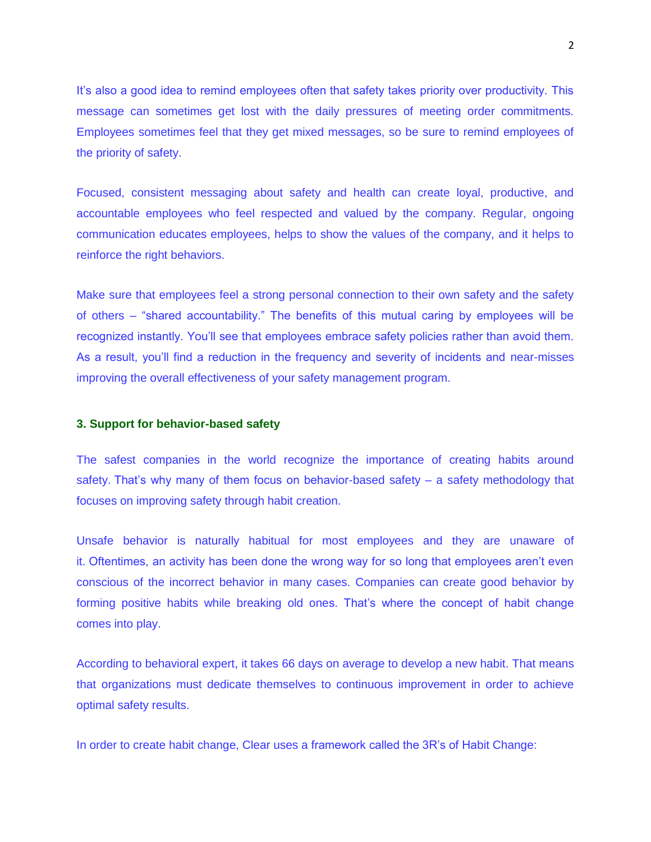It's also a good idea to remind employees often that safety takes priority over productivity. This message can sometimes get lost with the daily pressures of meeting order commitments. Employees sometimes feel that they get mixed messages, so be sure to remind employees of the priority of safety.

Focused, consistent messaging about safety and health can create loyal, productive, and accountable employees who feel respected and valued by the company. Regular, ongoing communication educates employees, helps to show the values of the company, and it helps to reinforce the right behaviors.

Make sure that employees feel a strong personal connection to their own safety and the safety of others – "shared accountability." The benefits of this mutual caring by employees will be recognized instantly. You'll see that employees embrace safety policies rather than avoid them. As a result, you'll find a reduction in the frequency and severity of incidents and near-misses improving the overall effectiveness of your safety management program.

#### **3. Support for behavior-based safety**

The safest companies in the world recognize the importance of creating habits around safety. [That's why many of them focus on behavior-based safety –](https://ireportsource.com/blog/behavior-based-safety-these-are-the-critical-success-factors/) a safety methodology that [focuses on improving safety through habit creation.](https://ireportsource.com/blog/behavior-based-safety-these-are-the-critical-success-factors/)

Unsafe behavior is naturally habitual for most employees and they are unaware of it. Oftentimes, an activity has been done the wrong way for so long that employees aren't even conscious of the incorrect behavior in many cases. Companies can create good behavior by forming positive habits while breaking old ones. That's where the concept of habit change comes into play.

According to behavioral expert, it takes [66 days on average to](https://jamesclear.com/new-habit) develop a new habit. That means that organizations must dedicate themselves to continuous improvement in order to achieve optimal safety results.

In order to create habit change, Clear uses a [framework called the 3R's of Habit Change:](https://jamesclear.com/three-steps-habit-change)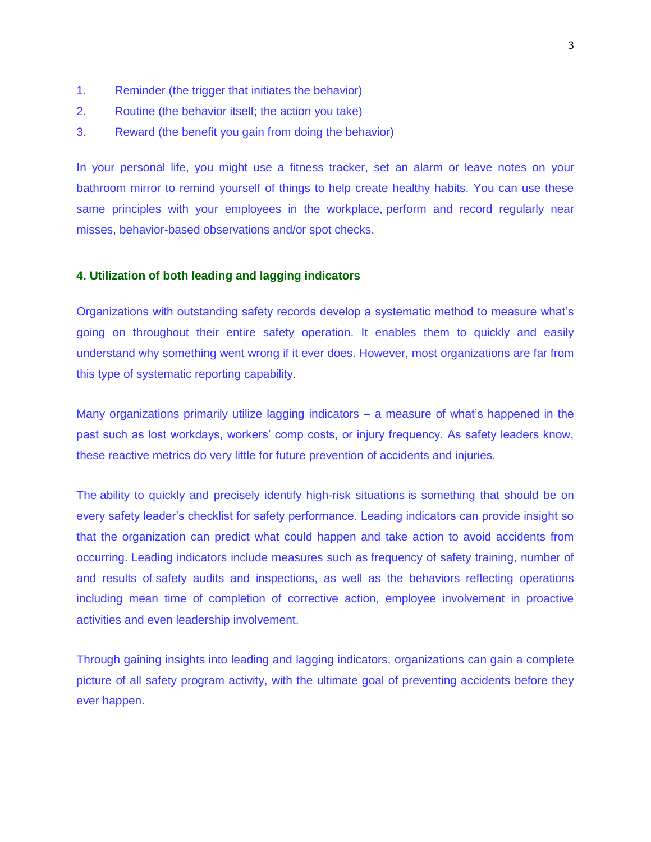- 1. Reminder (the trigger that initiates the behavior)
- 2. Routine (the behavior itself; the action you take)
- 3. Reward (the benefit you gain from doing the behavior)

In your personal life, you might use a fitness tracker, set an alarm or leave notes on your bathroom mirror to remind yourself of things to help create healthy habits. You can use these same principles with your employees in the workplace, [perform and record regularly near](https://ireportsource.com/features/near-miss-behavior-observation/)  [misses, behavior-based observations and/or spot checks.](https://ireportsource.com/features/near-miss-behavior-observation/)

#### **4. Utilization of both leading and lagging indicators**

Organizations with outstanding safety records develop a systematic method to measure what's going on throughout their entire safety operation. It enables them to quickly and easily understand why something went wrong if it ever does. However, most organizations are far from this type of systematic reporting capability.

Many organizations primarily utilize lagging indicators – a measure of what's happened in the past such as lost workdays, workers' comp costs, or injury frequency. As safety leaders know, these reactive metrics do very little for future prevention of accidents and injuries.

The ability to quickly and precisely identify high-risk situations is something that should be on every safety leader's checklist for safety performance. Leading indicators can provide insight so that the organization can predict what could happen and take action to avoid accidents from occurring. [Leading indicators include measures such as](https://ireportsource.com/blog/safety-leaders-quick-guide-leading-indicators-safety-performance/) frequency of safety training, number of and results of [safety audits and inspections,](https://ireportsource.com/safety-audits/) as well as the behaviors reflecting operations including mean time of completion of corrective action, employee involvement in proactive activities and even leadership involvement.

Through gaining insights into leading and lagging indicators, organizations can gain a complete picture of all safety program activity, with the ultimate goal of preventing accidents before they ever happen.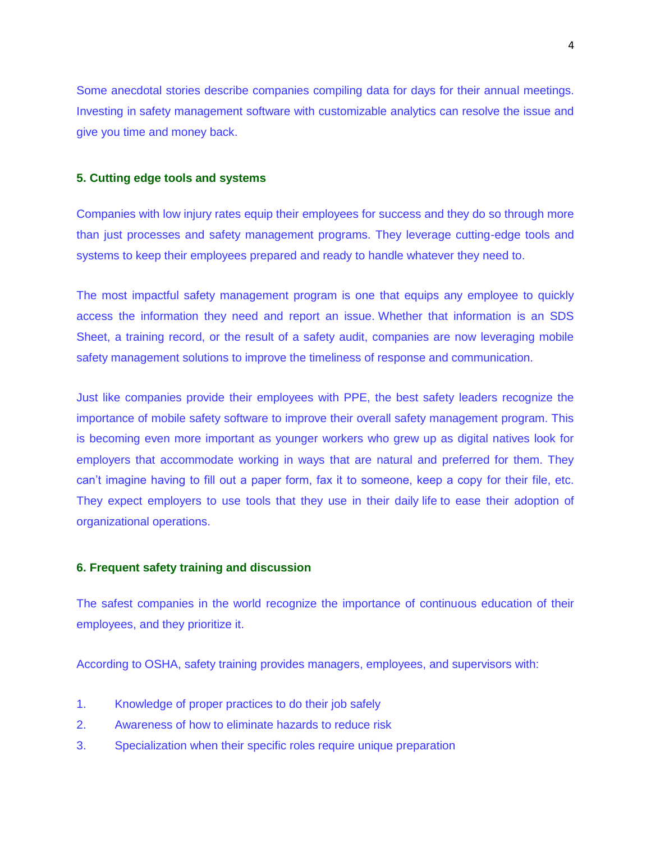Some anecdotal stories describe companies compiling data for days for their annual meetings. Investing in [safety management software with customizable analytics](https://ireportsource.com/) can resolve the issue and give you time and money back.

#### **5. Cutting edge tools and systems**

Companies with low injury rates equip their employees for success and they do so through more than just processes and safety management programs. They leverage cutting-edge tools and systems to keep their employees prepared and ready to handle whatever they need to.

The most impactful safety management program is one that equips any employee to quickly access the information they need and report an issue. Whether that information is an SDS Sheet, a training record, or the result of a safety audit, companies are now leveraging mobile safety management solutions to improve the timeliness of response and communication.

Just like companies provide their employees with PPE, the best safety leaders recognize the importance of mobile safety software to improve their overall safety management program. This is becoming even more important as younger workers who grew up as digital natives look for employers that accommodate working in ways that are natural and preferred for them. They can't imagine having to fill out a paper form, fax it to someone, keep a copy for their file, etc. They expect employers to use tools that they use in their daily life to ease their adoption of organizational operations.

#### **6. Frequent safety training and discussion**

The safest companies in the world recognize the importance of continuous education of their employees, and they prioritize it.

[According to OSHA, safety training provides managers, employees, and supervisors with:](https://www.osha.gov/shpguidelines/education-training.html)

- 1. Knowledge of proper practices to do their job safely
- 2. Awareness of how to eliminate hazards to reduce risk
- 3. Specialization when their specific roles require unique preparation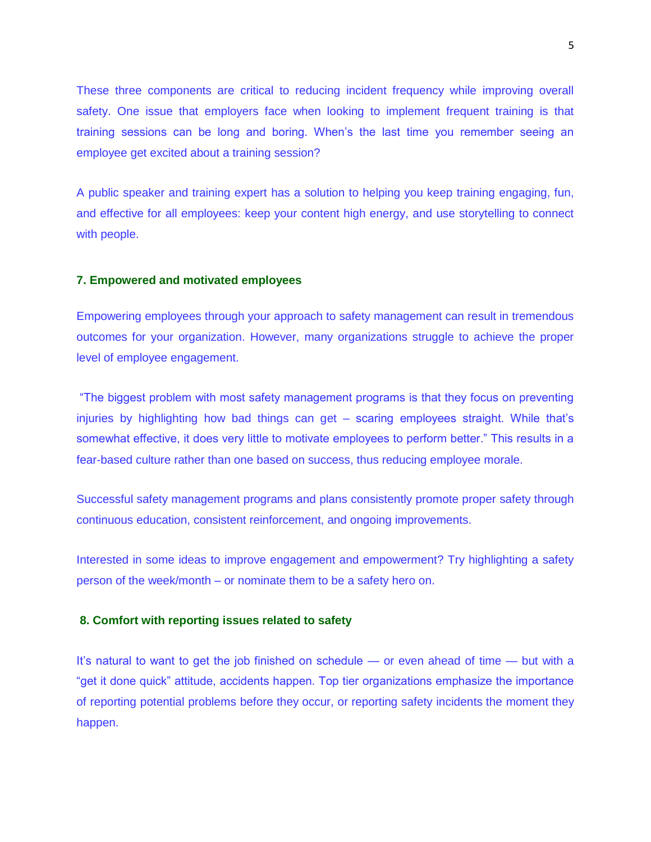These three components are critical to reducing incident frequency while improving overall safety. One issue that employers face when looking to implement frequent training is that training sessions can be long and boring. When's the last time you remember seeing an employee get excited about a training session?

A public speaker and training expert [has a solution to helping you keep training engaging, fun,](https://ireportsource.com/blog/the-2-secrets-to-making-workplace-safety-training-fun/)  [and effective for all employees: keep your content high energy, and use storytelling to connect](https://ireportsource.com/blog/the-2-secrets-to-making-workplace-safety-training-fun/)  [with people.](https://ireportsource.com/blog/the-2-secrets-to-making-workplace-safety-training-fun/)

#### **7. Empowered and motivated employees**

Empowering employees through your approach to safety management can result in tremendous outcomes for your organization. However, many organizations struggle to achieve the proper level of employee engagement.

"The biggest problem with most safety management programs is that they focus on preventing injuries by highlighting how bad things can get – scaring employees straight. While that's somewhat effective, it does very little to motivate employees to perform better." This results in a fear-based culture rather than one based on success, thus reducing employee morale.

Successful safety management programs and plans consistently promote proper safety through continuous education, consistent reinforcement, and ongoing improvements.

Interested in some ideas to improve engagement and empowerment? Try highlighting a safety person of the week/month – or nominate them to be a safety hero on.

#### **8. Comfort with reporting issues related to safety**

It's natural to want to get the job finished on schedule — or even ahead of time — but with a "get it done quick" attitude, accidents happen. Top tier organizations emphasize the importance of reporting potential problems before they occur, or [reporting safety incidents](https://ireportsource.com/incident-reporting/) the moment they happen.